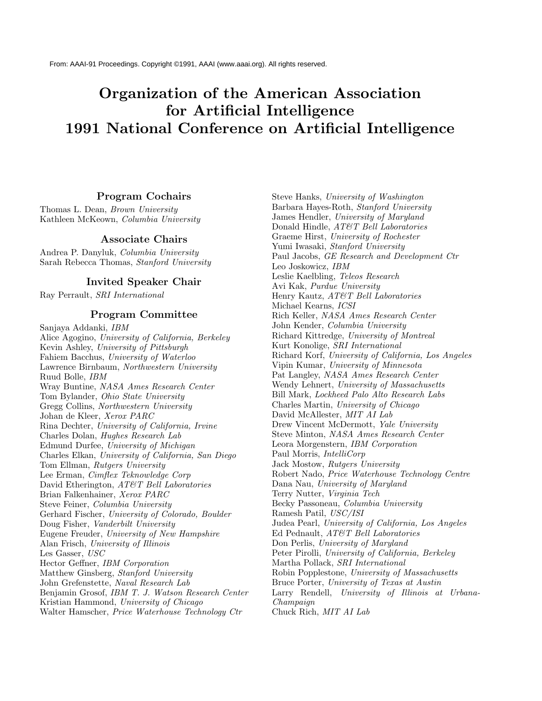# **Organization of the American Association for Artificial Intelligence 1991 National Conference on Artificial Intelligence**

#### **Program Cochairs**

Thomas L. Dean, Brown University Kathleen McKeown, Columbia University

#### **Associate Chairs**

Andrea P. Danyluk, Columbia University Sarah Rebecca Thomas, Stanford University

### **Invited Speaker Chair**

Ray Perrault, SRI International

#### **Program Committee**

Sanjaya Addanki, IBM Alice Agogino, University of California, Berkeley Kevin Ashley, University of Pittsburgh Fahiem Bacchus, University of Waterloo Lawrence Birnbaum, Northwestern University Ruud Bolle, IBM Wray Buntine, NASA Ames Research Center Tom Bylander, Ohio State University Gregg Collins, Northwestern University Johan de Kleer, Xerox PARC Rina Dechter, University of California, Irvine Charles Dolan, Hughes Research Lab Edmund Durfee, University of Michigan Charles Elkan, University of California, San Diego Tom Ellman, Rutgers University Lee Erman, Cimflex Teknowledge Corp David Etherington, AT&T Bell Laboratories Brian Falkenhainer, Xerox PARC Steve Feiner, Columbia University Gerhard Fischer, University of Colorado, Boulder Doug Fisher, Vanderbilt University Eugene Freuder, University of New Hampshire Alan Frisch, University of Illinois Les Gasser, USC Hector Geffner, IBM Corporation Matthew Ginsberg, Stanford University John Grefenstette, Naval Research Lab Benjamin Grosof, IBM T. J. Watson Research Center Kristian Hammond, University of Chicago Walter Hamscher, Price Waterhouse Technology Ctr

Steve Hanks, University of Washington Barbara Hayes-Roth, Stanford University James Hendler, University of Maryland Donald Hindle, AT&T Bell Laboratories Graeme Hirst, University of Rochester Yumi Iwasaki, Stanford University Paul Jacobs, GE Research and Development Ctr Leo Joskowicz, IBM Leslie Kaelbling, Teleos Research Avi Kak, Purdue University Henry Kautz, AT&T Bell Laboratories Michael Kearns, ICSI Rich Keller, NASA Ames Research Center John Kender, Columbia University Richard Kittredge, University of Montreal Kurt Konolige, SRI International Richard Korf, University of California, Los Angeles Vipin Kumar, University of Minnesota Pat Langley, NASA Ames Research Center Wendy Lehnert, University of Massachusetts Bill Mark, Lockheed Palo Alto Research Labs Charles Martin, University of Chicago David McAllester, MIT AI Lab Drew Vincent McDermott, Yale University Steve Minton, NASA Ames Research Center Leora Morgenstern, IBM Corporation Paul Morris, IntelliCorp Jack Mostow, Rutgers University Robert Nado, Price Waterhouse Technology Centre Dana Nau, University of Maryland Terry Nutter, Virginia Tech Becky Passoneau, Columbia University Ramesh Patil, USC/ISI Judea Pearl, University of California, Los Angeles Ed Pednault, AT&T Bell Laboratories Don Perlis, University of Maryland Peter Pirolli, University of California, Berkeley Martha Pollack, SRI International Robin Popplestone, University of Massachusetts Bruce Porter, University of Texas at Austin Larry Rendell, University of Illinois at Urbana-Champaign Chuck Rich, MIT AI Lab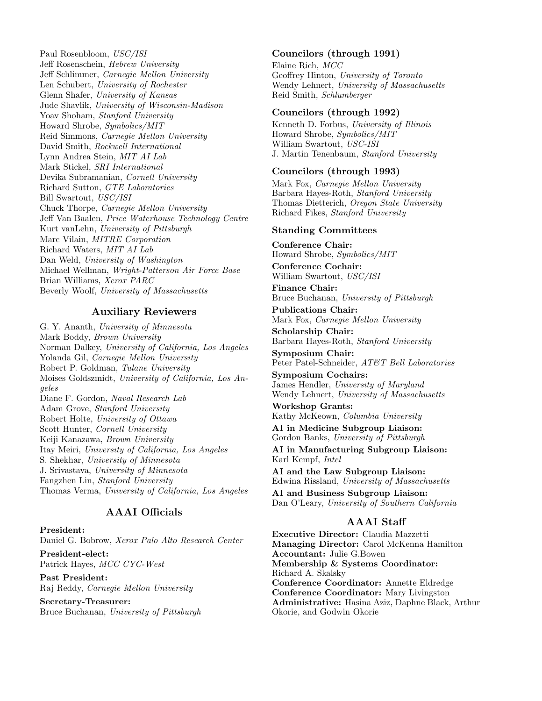Paul Rosenbloom, USC/ISI Jeff Rosenschein, Hebrew University Jeff Schlimmer, Carnegie Mellon University Len Schubert, University of Rochester Glenn Shafer, University of Kansas Jude Shavlik, University of Wisconsin-Madison Yoav Shoham, Stanford University Howard Shrobe, Symbolics/MIT Reid Simmons, Carnegie Mellon University David Smith, Rockwell International Lynn Andrea Stein, MIT AI Lab Mark Stickel, SRI International Devika Subramanian, Cornell University Richard Sutton, GTE Laboratories Bill Swartout, USC/ISI Chuck Thorpe, Carnegie Mellon University Jeff Van Baalen, Price Waterhouse Technology Centre Kurt vanLehn, University of Pittsburgh Marc Vilain, MITRE Corporation Richard Waters, MIT AI Lab Dan Weld, University of Washington Michael Wellman, Wright-Patterson Air Force Base Brian Williams, Xerox PARC Beverly Woolf, University of Massachusetts

## **Auxiliary Reviewers**

G. Y. Ananth, University of Minnesota Mark Boddy, Brown University Norman Dalkey, University of California, Los Angeles Yolanda Gil, Carnegie Mellon University Robert P. Goldman, Tulane University Moises Goldszmidt, University of California, Los Angeles Diane F. Gordon, Naval Research Lab Adam Grove, Stanford University Robert Holte, University of Ottawa Scott Hunter, Cornell University Keiji Kanazawa, Brown University Itay Meiri, University of California, Los Angeles S. Shekhar, University of Minnesota J. Srivastava, University of Minnesota Fangzhen Lin, Stanford University Thomas Verma, University of California, Los Angeles

# **AAAI Officials**

**President:** Daniel G. Bobrow, Xerox Palo Alto Research Center

**President-elect:** Patrick Hayes, MCC CYC-West

**Past President:** Raj Reddy, Carnegie Mellon University

**Secretary-Treasurer:** Bruce Buchanan, University of Pittsburgh

#### **Councilors (through 1991)**

Elaine Rich, MCC Geoffrey Hinton, University of Toronto Wendy Lehnert, University of Massachusetts Reid Smith, Schlumberger

#### **Councilors (through 1992)**

Kenneth D. Forbus, University of Illinois Howard Shrobe, Symbolics/MIT William Swartout, USC-ISI J. Martin Tenenbaum, Stanford University

#### **Councilors (through 1993)**

Mark Fox, Carnegie Mellon University Barbara Hayes-Roth, Stanford University Thomas Dietterich, Oregon State University Richard Fikes, Stanford University

#### **Standing Committees**

**Conference Chair:** Howard Shrobe, Symbolics/MIT

**Conference Cochair:** William Swartout, USC/ISI

**Finance Chair:** Bruce Buchanan, University of Pittsburgh

**Publications Chair:** Mark Fox, Carnegie Mellon University

**Scholarship Chair:** Barbara Hayes-Roth, Stanford University

**Symposium Chair:** Peter Patel-Schneider, AT&T Bell Laboratories

**Symposium Cochairs:** James Hendler, University of Maryland Wendy Lehnert, University of Massachusetts

**Workshop Grants:** Kathy McKeown, Columbia University

**AI in Medicine Subgroup Liaison:** Gordon Banks, University of Pittsburgh

**AI in Manufacturing Subgroup Liaison:** Karl Kempf, Intel

**AI and the Law Subgroup Liaison:** Edwina Rissland, University of Massachusetts

**AI and Business Subgroup Liaison:** Dan O'Leary, University of Southern California

## **AAAI Staff**

**Executive Director:** Claudia Mazzetti **Managing Director:** Carol McKenna Hamilton **Accountant:** Julie G.Bowen **Membership & Systems Coordinator:** Richard A. Skalsky **Conference Coordinator:** Annette Eldredge **Conference Coordinator:** Mary Livingston **Administrative:** Hasina Aziz, Daphne Black, Arthur Okorie, and Godwin Okorie